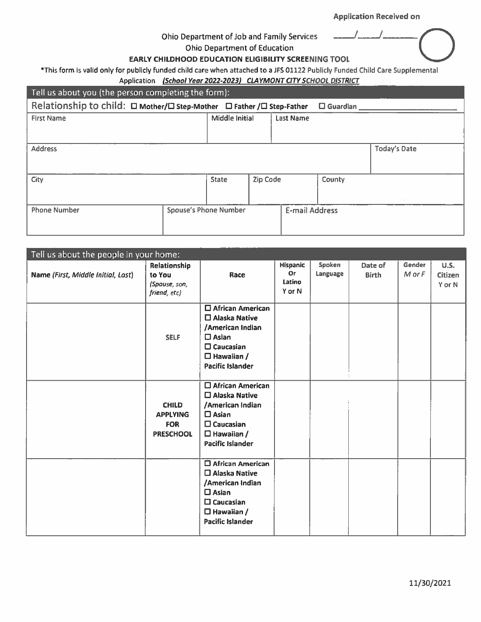#### Ohio Department of Job and Family Services

Ohio Department of Education

#### EARLY CHILDHOOD EDUCATION ELIGIBILITY SCREENING TOOL

\*This form is valid only for publicly funded child care when attached to a JFS 01122 Publicly Funded Child Care Supplemental

#### Application (School Year 2022-2023) CLAYMONT CITY SCHOOL DISTRICT

| Tell us about you (the person completing the form):                                      |                              |                |                       |           |        |              |  |  |
|------------------------------------------------------------------------------------------|------------------------------|----------------|-----------------------|-----------|--------|--------------|--|--|
| Relationship to child: □ Mother/□ Step-Mother □ Father /□ Step-Father<br>$\Box$ Guardian |                              |                |                       |           |        |              |  |  |
| <b>First Name</b>                                                                        |                              | Middle Initial |                       | Last Name |        |              |  |  |
|                                                                                          |                              |                |                       |           |        |              |  |  |
| <b>Address</b>                                                                           |                              |                |                       |           |        | Today's Date |  |  |
|                                                                                          |                              |                |                       |           |        |              |  |  |
| City                                                                                     |                              | <b>State</b>   | Zip Code              |           | County |              |  |  |
|                                                                                          |                              |                |                       |           |        |              |  |  |
| <b>Phone Number</b>                                                                      | <b>Spouse's Phone Number</b> |                | <b>E-mail Address</b> |           |        |              |  |  |
|                                                                                          |                              |                |                       |           |        |              |  |  |

| Tell us about the people in your home: |                                                                   |                                                                                                                                                               |                                                  |                    |                         |                  |                                  |  |
|----------------------------------------|-------------------------------------------------------------------|---------------------------------------------------------------------------------------------------------------------------------------------------------------|--------------------------------------------------|--------------------|-------------------------|------------------|----------------------------------|--|
| Name (First, Middle Initial, Last)     | Relationship<br>to You<br>(Spouse, son,<br>friend, etc)           | Race                                                                                                                                                          | <b>Hispanic</b><br><b>Or</b><br>Latino<br>Y or N | Spoken<br>Language | Date of<br><b>Birth</b> | Gender<br>M or F | <b>U.S.</b><br>Citizen<br>Y or N |  |
|                                        | <b>SELF</b>                                                       | $\Box$ African American<br>□ Alaska Native<br>/American Indian<br>$\square$ Asian<br>$\square$ Caucasian<br>$\Box$ Hawaiian /<br><b>Pacific Islander</b>      |                                                  |                    |                         |                  |                                  |  |
|                                        | <b>CHILD</b><br><b>APPLYING</b><br><b>FOR</b><br><b>PRESCHOOL</b> | $\Box$ African American<br>□ Alaska Native<br>/American Indian<br>$\square$ Asian<br>$\square$ Caucasian<br>$\Box$ Hawaiian /<br><b>Pacific Islander</b>      |                                                  |                    |                         |                  |                                  |  |
|                                        |                                                                   | $\Box$ African American<br>$\Box$ Alaska Native<br>/American Indian<br>$\square$ Asian<br>$\square$ Caucasian<br>$\Box$ Hawaiian /<br><b>Pacific Islander</b> |                                                  |                    |                         |                  |                                  |  |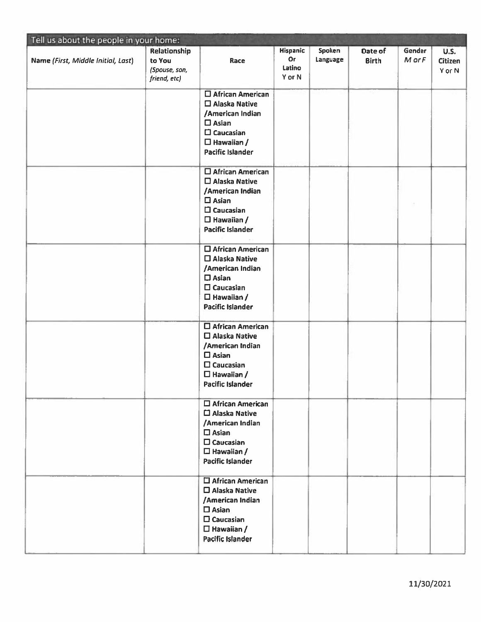| Tell us about the people in your home: |                                                         |                                                                                                                                                             |                                           |                    |                         |                  |                                         |  |
|----------------------------------------|---------------------------------------------------------|-------------------------------------------------------------------------------------------------------------------------------------------------------------|-------------------------------------------|--------------------|-------------------------|------------------|-----------------------------------------|--|
| Name (First, Middle Initial, Last)     | Relationship<br>to You<br>(Spouse, son,<br>friend, etc) | Race                                                                                                                                                        | <b>Hispanic</b><br>Or<br>Latino<br>Y or N | Spoken<br>Language | Date of<br><b>Birth</b> | Gender<br>M or F | <b>U.S.</b><br><b>Citizen</b><br>Y or N |  |
|                                        |                                                         | □ African American<br>$\square$ Alaska Native<br>/American Indian<br>$\square$ Asian<br>$\square$ Caucasian<br>$\Box$ Hawaiian /<br>Pacific Islander        |                                           |                    |                         |                  |                                         |  |
|                                        |                                                         | $\square$ African American<br>□ Alaska Native<br>/American Indian<br>$\square$ Asian<br>$\square$ Caucasian<br>$\Box$ Hawaiian /<br><b>Pacific Islander</b> |                                           |                    |                         |                  |                                         |  |
|                                        |                                                         | □ African American<br>$\square$ Alaska Native<br>/American Indian<br>$\square$ Asian<br>$\square$ Caucasian<br>$\Box$ Hawaiian /<br><b>Pacific Islander</b> |                                           |                    |                         |                  |                                         |  |
|                                        |                                                         | □ African American<br>$\square$ Alaska Native<br>/American Indian<br>$\square$ Asian<br>$\square$ Caucasian<br>$\Box$ Hawaiian /<br><b>Pacific Islander</b> |                                           |                    |                         |                  |                                         |  |
|                                        |                                                         | $\square$ African American<br>□ Alaska Native<br>/American Indian<br>$\square$ Asian<br>$\square$ Caucasian<br>$\Box$ Hawaiian /<br><b>Pacific Islander</b> |                                           |                    |                         |                  |                                         |  |
|                                        |                                                         | 口 African American<br>□ Alaska Native<br>/American Indian<br>$\square$ Asian<br>$\square$ Caucasian<br>$\Box$ Hawaiian /<br><b>Pacific Islander</b>         |                                           |                    |                         |                  |                                         |  |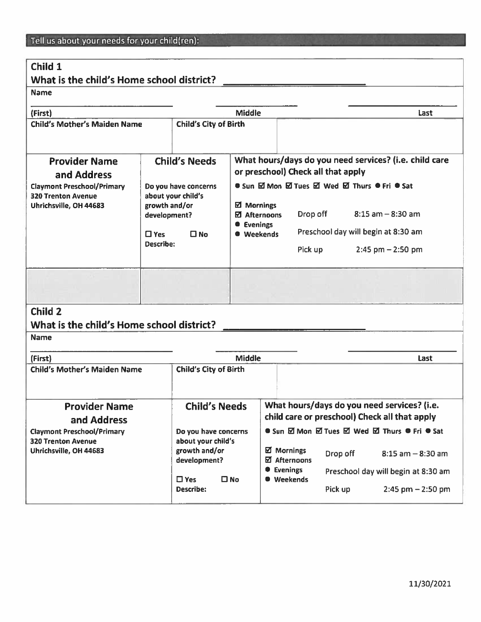### Child 1

# What is the child's Home school district? Name (First) Middle Last Child's Mother's Maiden Name  $\vert$  Child's City of Birth Provider Name Child's Needs What hours/days do you need services? (i.e. child care and Address and Address and Address and Address and Address and Dental that apply Claymont Preschool/Primary  $\|\cdot\|$  Do you have concerns  $\|\cdot\|$  Sun  $\boxtimes$  Mon  $\boxtimes$  Tues  $\boxtimes$  Wed  $\boxtimes$  Thurs  $\bullet$  Fri  $\bullet$  Sat 320 Trenton Avenue **about your child's** Uhrichsville, OH 44683  $\parallel$  growth and/or  $\parallel$   $\boxtimes$  Mornings development?  $\Box$  Afternoons Drop off 8:15 am  $-8:30$  am • Evenings  $\square$  Yes  $\square$  No  $\square$  Weekends Preschool day will begin at 8:30 am Describe: Pick up 2:45 pm —2:50 pm Child 2 What is the child's Home school district? Name (First) Middle Last Child's Mother's Maiden Name  $\vert$  Child's City of Birth Provider Name **Child's Needs** What hours/days do you need services? (i.e. and Address and Address and Address and Address and Address and Address all that apply Claymont Preschool/Primary **Do you have concerns**   $\bullet$  Sun  $\boxtimes$  Mon  $\boxtimes$  Tues  $\boxtimes$  Wed  $\boxtimes$  Thurs  $\bullet$  Fri  $\bullet$  Sat 320 Trenton Avenue about your child's Uhrichsville, OH 44683 am and/or Drop off 8:15 am – 8:30 am development? United States Drop off 8:15 am – 8:30 am <sup>I</sup> Evenings Preschool day will begin at 8:30 am  $\square$  Yes  $\square$  No  $\square$  Weekends Describe: The Pick up 2:45 pm – 2:50 pm